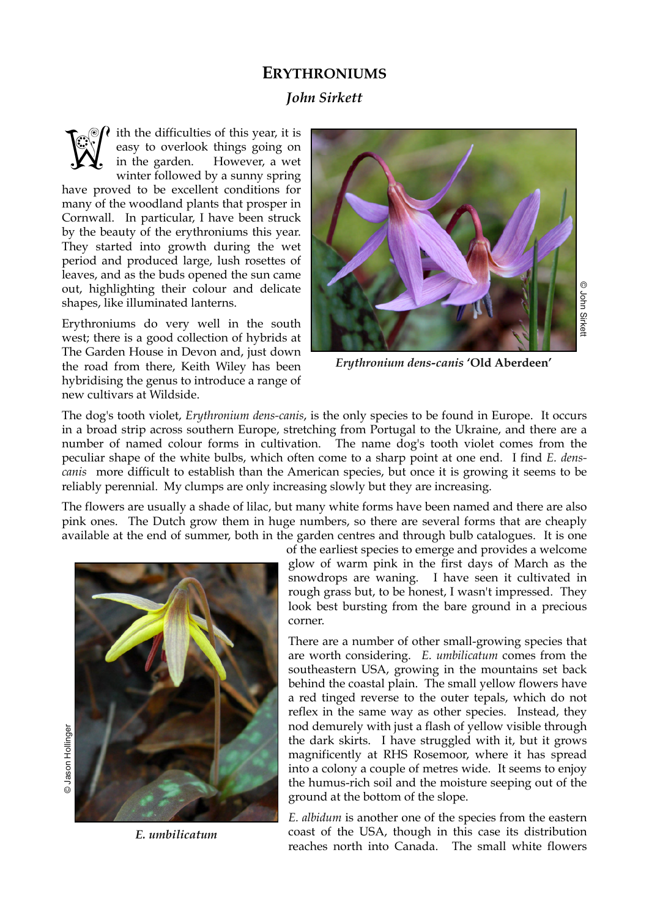## **ERYTHRONIUMS**

## *John Sirkett*

ith the difficulties of this year, it is easy to overlook things going on in the garden. However, a wet winter followed by a sunny spring have proved to be excellent conditions for many of the woodland plants that prosper in Cornwall. In particular, I have been struck by the beauty of the erythroniums this year. They started into growth during the wet period and produced large, lush rosettes of leaves, and as the buds opened the sun came out, highlighting their colour and delicate shapes, like illuminated lanterns. **Well** 

Erythroniums do very well in the south west; there is a good collection of hybrids at The Garden House in Devon and, just down the road from there, Keith Wiley has been hybridising the genus to introduce a range of new cultivars at Wildside.



*Erythronium dens-canis* **'Old Aberdeen'**

The dog's tooth violet, *Erythronium dens-canis*, is the only species to be found in Europe. It occurs in a broad strip across southern Europe, stretching from Portugal to the Ukraine, and there are a number of named colour forms in cultivation. The name dog's tooth violet comes from the peculiar shape of the white bulbs, which often come to a sharp point at one end. I find *E. denscanis* more difficult to establish than the American species, but once it is growing it seems to be reliably perennial. My clumps are only increasing slowly but they are increasing.

The flowers are usually a shade of lilac, but many white forms have been named and there are also pink ones. The Dutch grow them in huge numbers, so there are several forms that are cheaply available at the end of summer, both in the garden centres and through bulb catalogues. It is one



*E. umbilicatum*

of the earliest species to emerge and provides a welcome glow of warm pink in the first days of March as the snowdrops are waning. I have seen it cultivated in rough grass but, to be honest, I wasn't impressed. They look best bursting from the bare ground in a precious corner.

There are a number of other small-growing species that are worth considering. *E. umbilicatum* comes from the southeastern USA, growing in the mountains set back behind the coastal plain. The small yellow flowers have a red tinged reverse to the outer tepals, which do not reflex in the same way as other species. Instead, they nod demurely with just a flash of yellow visible through the dark skirts. I have struggled with it, but it grows magnificently at RHS Rosemoor, where it has spread into a colony a couple of metres wide. It seems to enjoy the humus-rich soil and the moisture seeping out of the ground at the bottom of the slope.

*E. albidum* is another one of the species from the eastern coast of the USA, though in this case its distribution reaches north into Canada. The small white flowers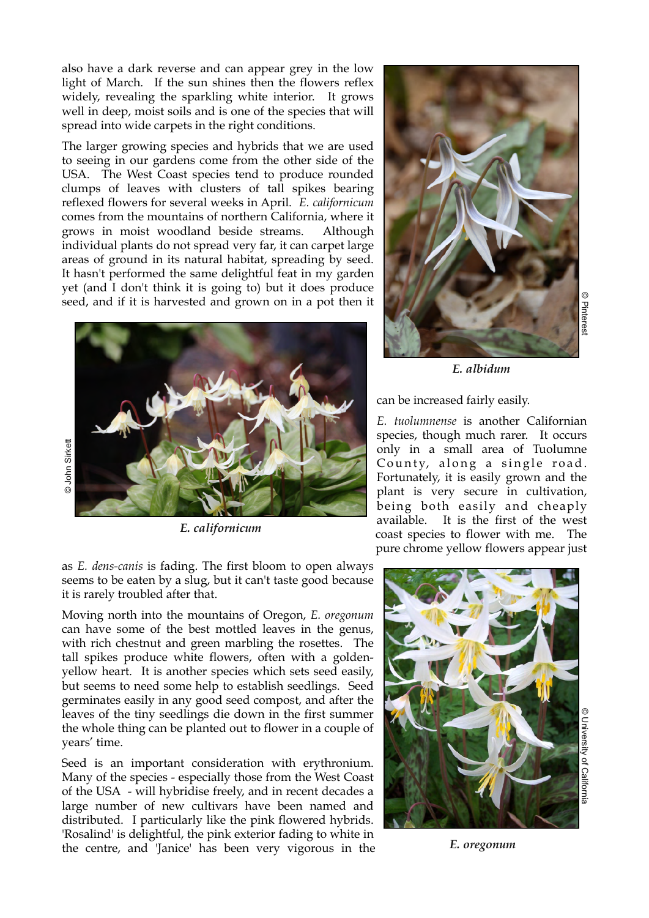also have a dark reverse and can appear grey in the low light of March. If the sun shines then the flowers reflex widely, revealing the sparkling white interior. It grows well in deep, moist soils and is one of the species that will spread into wide carpets in the right conditions.

The larger growing species and hybrids that we are used to seeing in our gardens come from the other side of the USA. The West Coast species tend to produce rounded clumps of leaves with clusters of tall spikes bearing reflexed flowers for several weeks in April. *E. californicum* comes from the mountains of northern California, where it grows in moist woodland beside streams. Although individual plants do not spread very far, it can carpet large areas of ground in its natural habitat, spreading by seed. It hasn't performed the same delightful feat in my garden yet (and I don't think it is going to) but it does produce seed, and if it is harvested and grown on in a pot then it



© John Sirkett © John Sirkett

*E. californicum*

as *E. dens-canis* is fading. The first bloom to open always seems to be eaten by a slug, but it can't taste good because it is rarely troubled after that.

Moving north into the mountains of Oregon, *E. oregonum* can have some of the best mottled leaves in the genus, with rich chestnut and green marbling the rosettes. The tall spikes produce white flowers, often with a goldenyellow heart. It is another species which sets seed easily, but seems to need some help to establish seedlings. Seed germinates easily in any good seed compost, and after the leaves of the tiny seedlings die down in the first summer the whole thing can be planted out to flower in a couple of years' time.

Seed is an important consideration with erythronium. Many of the species - especially those from the West Coast of the USA - will hybridise freely, and in recent decades a large number of new cultivars have been named and distributed. I particularly like the pink flowered hybrids. 'Rosalind' is delightful, the pink exterior fading to white in the centre, and 'Janice' has been very vigorous in the



*E. albidum*

can be increased fairly easily.

*E. tuolumnense* is another Californian species, though much rarer. It occurs only in a small area of Tuolumne County, along a single road. Fortunately, it is easily grown and the plant is very secure in cultivation, being both easily and cheaply available. It is the first of the west coast species to flower with me. The pure chrome yellow flowers appear just



*E. oregonum*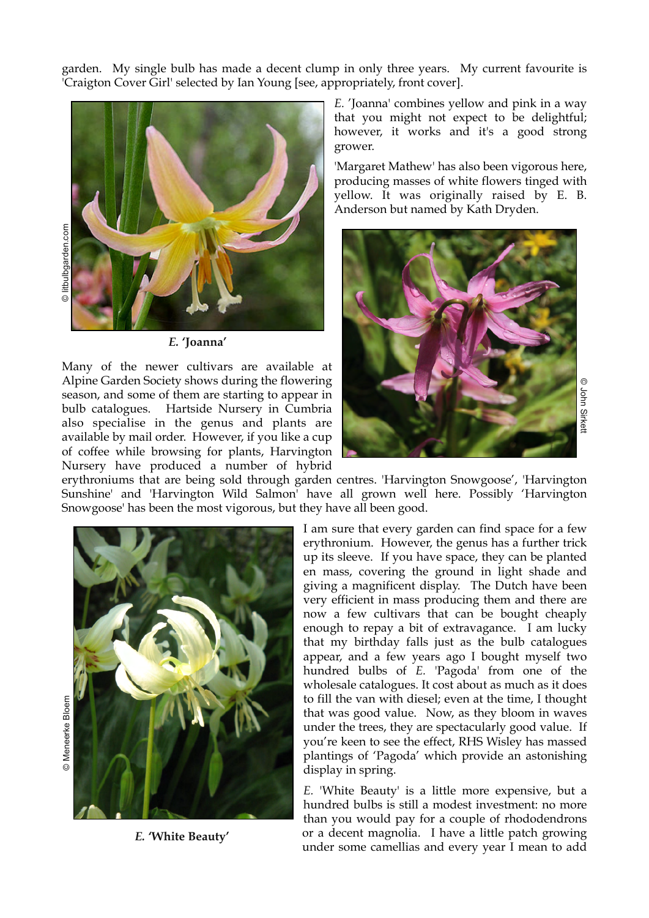garden. My single bulb has made a decent clump in only three years. My current favourite is 'Craigton Cover Girl' selected by Ian Young [see, appropriately, front cover].



*E.* **'Joanna'**

Many of the newer cultivars are available at Alpine Garden Society shows during the flowering season, and some of them are starting to appear in bulb catalogues. Hartside Nursery in Cumbria also specialise in the genus and plants are available by mail order. However, if you like a cup of coffee while browsing for plants, Harvington Nursery have produced a number of hybrid

*E.* 'Joanna' combines yellow and pink in a way that you might not expect to be delightful; however, it works and it's a good strong grower.

'Margaret Mathew' has also been vigorous here, producing masses of white flowers tinged with yellow. It was originally raised by E. B. Anderson but named by Kath Dryden.



© John Sirkett John Sirket

erythroniums that are being sold through garden centres. 'Harvington Snowgoose', 'Harvington Sunshine' and 'Harvington Wild Salmon' have all grown well here. Possibly 'Harvington Snowgoose' has been the most vigorous, but they have all been good.



*E.* **'White Beauty'**

I am sure that every garden can find space for a few erythronium. However, the genus has a further trick up its sleeve. If you have space, they can be planted en mass, covering the ground in light shade and giving a magnificent display. The Dutch have been very efficient in mass producing them and there are now a few cultivars that can be bought cheaply enough to repay a bit of extravagance. I am lucky that my birthday falls just as the bulb catalogues appear, and a few years ago I bought myself two hundred bulbs of *E.* 'Pagoda' from one of the wholesale catalogues. It cost about as much as it does to fill the van with diesel; even at the time, I thought that was good value. Now, as they bloom in waves under the trees, they are spectacularly good value. If you're keen to see the effect, RHS Wisley has massed plantings of 'Pagoda' which provide an astonishing display in spring.

*E.* 'White Beauty' is a little more expensive, but a hundred bulbs is still a modest investment: no more than you would pay for a couple of rhododendrons or a decent magnolia. I have a little patch growing under some camellias and every year I mean to add

© Meneerke Bloem © Meneerke Bloem